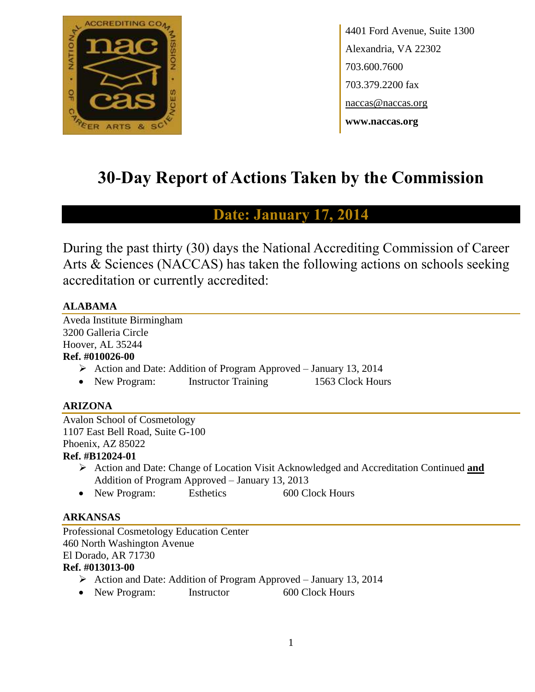

4401 Ford Avenue, Suite 1300 Alexandria, VA 22302 703.600.7600 703.379.2200 fax naccas@naccas.org **www.naccas.org**

# **30-Day Report of Actions Taken by the Commission**

# **Date: January 17, 201**

During the past thirty (30) days the National Accrediting Commission of Career Arts & Sciences (NACCAS) has taken the following actions on schools seeking accreditation or currently accredited:

#### **ALABAMA**

Aveda Institute Birmingham 3200 Galleria Circle Hoover, AL 35244

## **Ref. #010026-00**

- $\triangleright$  Action and Date: Addition of Program Approved January 13, 2014
- New Program: Instructor Training 1563 Clock Hours

## **ARIZONA**

Avalon School of Cosmetology 1107 East Bell Road, Suite G-100 Phoenix, AZ 85022 **Ref. #B12024-01**

- Action and Date: Change of Location Visit Acknowledged and Accreditation Continued **and**  Addition of Program Approved – January 13, 2013
- New Program: Esthetics 600 Clock Hours

#### **ARKANSAS**

Professional Cosmetology Education Center 460 North Washington Avenue El Dorado, AR 71730 **Ref. #013013-00**

- Action and Date: Addition of Program Approved January 13, 2014
- New Program: Instructor 600 Clock Hours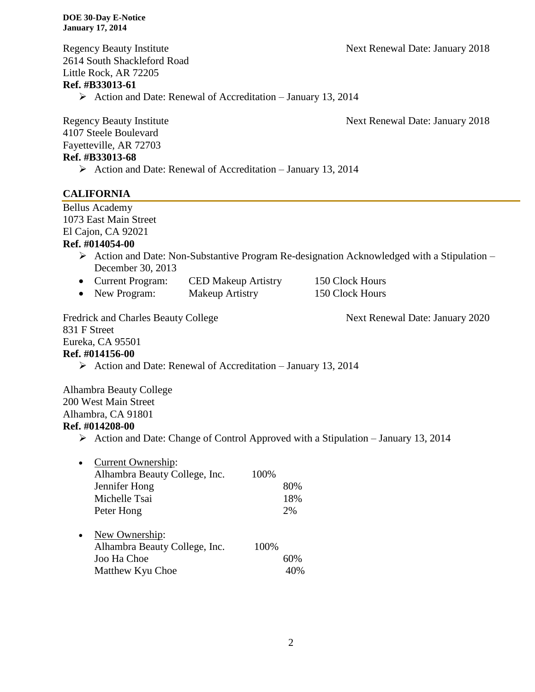Regency Beauty Institute Next Renewal Date: January 2018

2614 South Shackleford Road Little Rock, AR 72205

#### **Ref. #B33013-61**

 $\triangleright$  Action and Date: Renewal of Accreditation – January 13, 2014

Regency Beauty Institute Next Renewal Date: January 2018

4107 Steele Boulevard Fayetteville, AR 72703 **Ref. #B33013-68**

 $\triangleright$  Action and Date: Renewal of Accreditation – January 13, 2014

#### **CALIFORNIA**

Bellus Academy 1073 East Main Street El Cajon, CA 92021

#### **Ref. #014054-00**

- Action and Date: Non-Substantive Program Re-designation Acknowledged with a Stipulation December 30, 2013
- Current Program: CED Makeup Artistry 150 Clock Hours • New Program: Makeup Artistry 150 Clock Hours
- 

Fredrick and Charles Beauty College Next Renewal Date: January 2020 831 F Street Eureka, CA 95501

# **Ref. #014156-00**

 $\triangleright$  Action and Date: Renewal of Accreditation – January 13, 2014

Alhambra Beauty College 200 West Main Street Alhambra, CA 91801

#### **Ref. #014208-00**

 $\triangleright$  Action and Date: Change of Control Approved with a Stipulation – January 13, 2014

| $\bullet$ | <b>Current Ownership:</b>     |      |     |
|-----------|-------------------------------|------|-----|
|           | Alhambra Beauty College, Inc. | 100% |     |
|           | Jennifer Hong                 |      | 80% |
|           | Michelle Tsai                 |      | 18% |
|           | Peter Hong                    |      | 2%  |
| $\bullet$ | New Ownership:                |      |     |
|           | Alhambra Beauty College, Inc. | 100% |     |
|           | Joo Ha Choe                   |      | 60% |
|           | Matthew Kyu Choe              |      |     |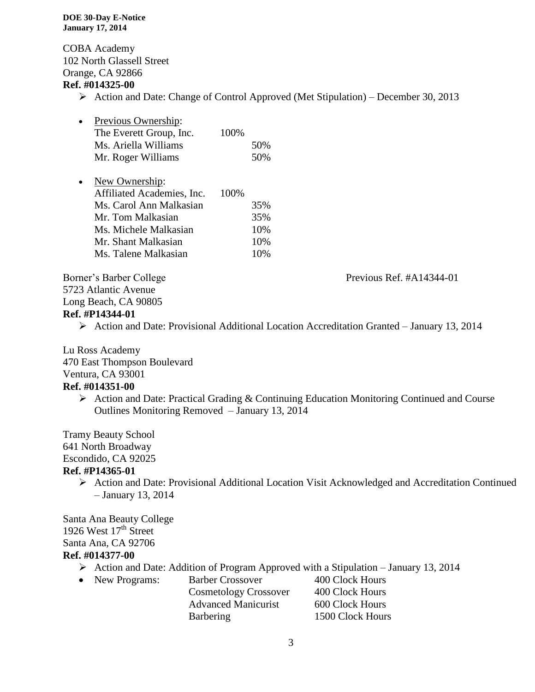COBA Academy 102 North Glassell Street Orange, CA 92866

#### **Ref. #014325-00**

 $\triangleright$  Action and Date: Change of Control Approved (Met Stipulation) – December 30, 2013

| $\bullet$ | Previous Ownership:     |      |     |
|-----------|-------------------------|------|-----|
|           | The Everett Group, Inc. | 100% |     |
|           | Ms. Ariella Williams    |      | 50% |
|           | Mr. Roger Williams      |      | 50% |

| $\bullet$ | New Ownership:             |       |        |
|-----------|----------------------------|-------|--------|
|           | Affiliated Academies, Inc. | 100\% |        |
|           | Ms. Carol Ann Malkasian    |       | 35%    |
|           | Mr. Tom Malkasian          |       | 35%    |
|           | Ms. Michele Malkasian      |       | 10%    |
|           | Mr. Shant Malkasian        |       | 10%    |
|           | Ms. Talene Malkasian       |       | $10\%$ |

5723 Atlantic Avenue

Long Beach, CA 90805

#### **Ref. #P14344-01**

Action and Date: Provisional Additional Location Accreditation Granted – January 13, 2014

Lu Ross Academy

470 East Thompson Boulevard

# Ventura, CA 93001

#### **Ref. #014351-00**

 $\triangleright$  Action and Date: Practical Grading & Continuing Education Monitoring Continued and Course Outlines Monitoring Removed – January 13, 2014

Tramy Beauty School

641 North Broadway

Escondido, CA 92025

#### **Ref. #P14365-01**

 Action and Date: Provisional Additional Location Visit Acknowledged and Accreditation Continued – January 13, 2014

Santa Ana Beauty College 1926 West  $17<sup>th</sup>$  Street Santa Ana, CA 92706 **Ref. #014377-00**

- $\triangleright$  Action and Date: Addition of Program Approved with a Stipulation January 13, 2014
- New Programs: Barber Crossover 400 Clock Hours Cosmetology Crossover 400 Clock Hours Advanced Manicurist 600 Clock Hours Barbering 1500 Clock Hours

Borner's Barber College Previous Ref. #A14344-01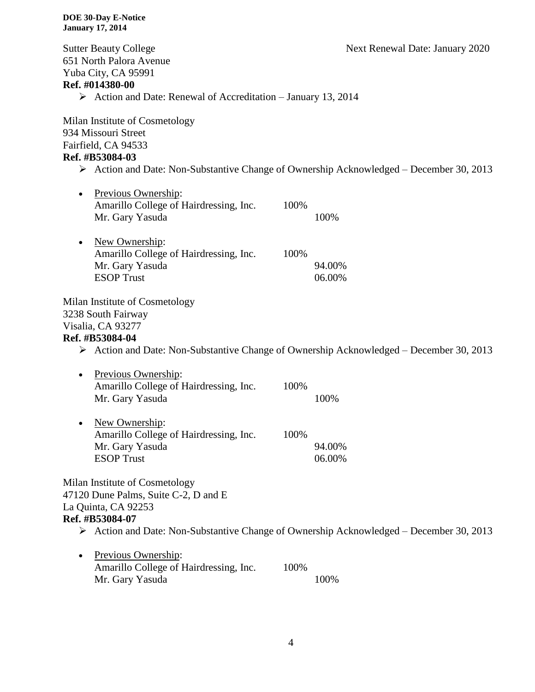Sutter Beauty College **Next Renewal Date: January 2020** 651 North Palora Avenue Yuba City, CA 95991 **Ref. #014380-00**  $\triangleright$  Action and Date: Renewal of Accreditation – January 13, 2014 Milan Institute of Cosmetology 934 Missouri Street Fairfield, CA 94533 **Ref. #B53084-03**  $\triangleright$  Action and Date: Non-Substantive Change of Ownership Acknowledged – December 30, 2013 • Previous Ownership: Amarillo College of Hairdressing, Inc. 100% Mr. Gary Yasuda 100% • New Ownership: Amarillo College of Hairdressing, Inc. 100% Mr. Gary Yasuda 94.00% ESOP Trust 06.00% Milan Institute of Cosmetology 3238 South Fairway Visalia, CA 93277 **Ref. #B53084-04**  $\triangleright$  Action and Date: Non-Substantive Change of Ownership Acknowledged – December 30, 2013 • Previous Ownership: Amarillo College of Hairdressing, Inc. 100% Mr. Gary Yasuda 100% • New Ownership: Amarillo College of Hairdressing, Inc. 100% Mr. Gary Yasuda 94.00% ESOP Trust 06.00% Milan Institute of Cosmetology 47120 Dune Palms, Suite C-2, D and E La Quinta, CA 92253 **Ref. #B53084-07**  $\triangleright$  Action and Date: Non-Substantive Change of Ownership Acknowledged – December 30, 2013 • Previous Ownership: Amarillo College of Hairdressing, Inc. 100% Mr. Gary Yasuda 100%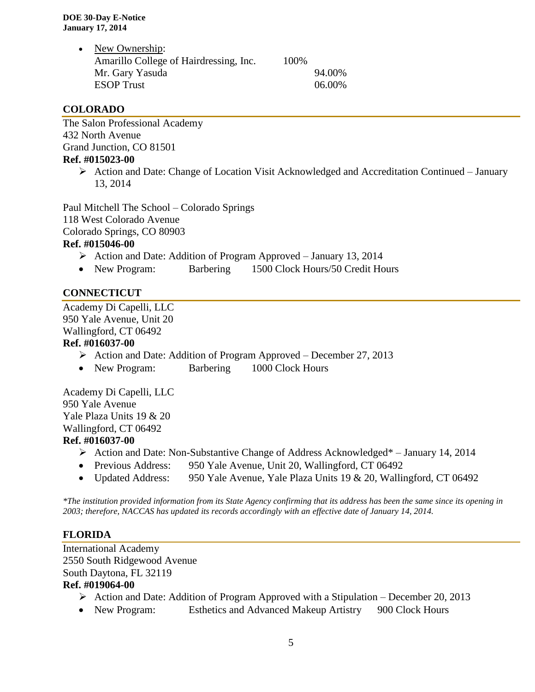• New Ownership: Amarillo College of Hairdressing, Inc. 100% Mr. Gary Yasuda 94.00% ESOP Trust 06.00%

#### **COLORADO**

The Salon Professional Academy 432 North Avenue Grand Junction, CO 81501 **Ref. #015023-00**

> $\triangleright$  Action and Date: Change of Location Visit Acknowledged and Accreditation Continued – January 13, 2014

Paul Mitchell The School – Colorado Springs 118 West Colorado Avenue Colorado Springs, CO 80903

## **Ref. #015046-00**

- $\triangleright$  Action and Date: Addition of Program Approved January 13, 2014
- New Program: Barbering 1500 Clock Hours/50 Credit Hours

#### **CONNECTICUT**

Academy Di Capelli, LLC 950 Yale Avenue, Unit 20 Wallingford, CT 06492

#### **Ref. #016037-00**

- $\triangleright$  Action and Date: Addition of Program Approved December 27, 2013
- New Program: Barbering 1000 Clock Hours

Academy Di Capelli, LLC 950 Yale Avenue Yale Plaza Units 19 & 20 Wallingford, CT 06492 **Ref. #016037-00**

- Action and Date: Non-Substantive Change of Address Acknowledged\* January 14, 2014
- Previous Address: 950 Yale Avenue, Unit 20, Wallingford, CT 06492
- Updated Address: 950 Yale Avenue, Yale Plaza Units 19 & 20, Wallingford, CT 06492

*\*The institution provided information from its State Agency confirming that its address has been the same since its opening in 2003; therefore, NACCAS has updated its records accordingly with an effective date of January 14, 2014.*

#### **FLORIDA**

International Academy 2550 South Ridgewood Avenue South Daytona, FL 32119

#### **Ref. #019064-00**

- Action and Date: Addition of Program Approved with a Stipulation December 20, 2013
- New Program: Esthetics and Advanced Makeup Artistry 900 Clock Hours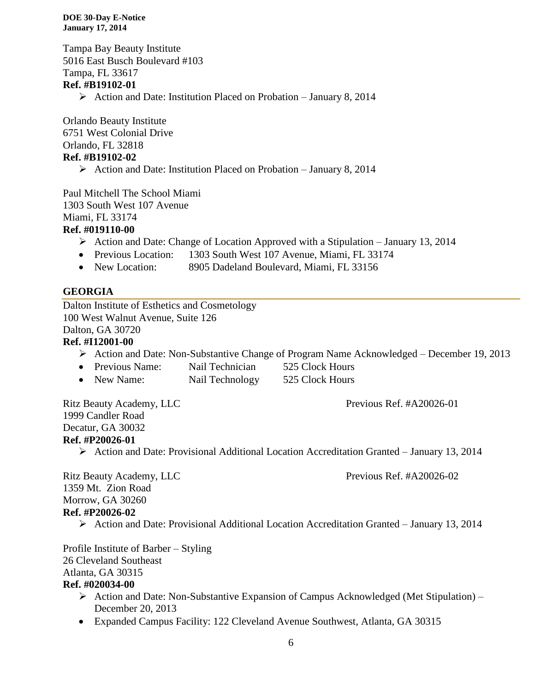Tampa Bay Beauty Institute 5016 East Busch Boulevard #103 Tampa, FL 33617 **Ref. #B19102-01**  $\triangleright$  Action and Date: Institution Placed on Probation – January 8, 2014

Orlando Beauty Institute 6751 West Colonial Drive Orlando, FL 32818 **Ref. #B19102-02**

 $\triangleright$  Action and Date: Institution Placed on Probation – January 8, 2014

Paul Mitchell The School Miami 1303 South West 107 Avenue Miami, FL 33174

#### **Ref. #019110-00**

- $\triangleright$  Action and Date: Change of Location Approved with a Stipulation January 13, 2014
- Previous Location: 1303 South West 107 Avenue, Miami, FL 33174
- New Location: 8905 Dadeland Boulevard, Miami, FL 33156

#### **GEORGIA**

Dalton Institute of Esthetics and Cosmetology 100 West Walnut Avenue, Suite 126

Dalton, GA 30720

#### **Ref. #I12001-00**

- Action and Date: Non-Substantive Change of Program Name Acknowledged December 19, 2013
- Previous Name: Nail Technician 525 Clock Hours
- New Name: Nail Technology 525 Clock Hours

Ritz Beauty Academy, LLC Previous Ref. #A20026-01 1999 Candler Road Decatur, GA 30032 **Ref. #P20026-01**

Action and Date: Provisional Additional Location Accreditation Granted – January 13, 2014

Ritz Beauty Academy, LLC Previous Ref. #A20026-02 1359 Mt. Zion Road Morrow, GA 30260 **Ref. #P20026-02**

Action and Date: Provisional Additional Location Accreditation Granted – January 13, 2014

Profile Institute of Barber – Styling 26 Cleveland Southeast Atlanta, GA 30315

#### **Ref. #020034-00**

- $\triangleright$  Action and Date: Non-Substantive Expansion of Campus Acknowledged (Met Stipulation) December 20, 2013
- Expanded Campus Facility: 122 Cleveland Avenue Southwest, Atlanta, GA 30315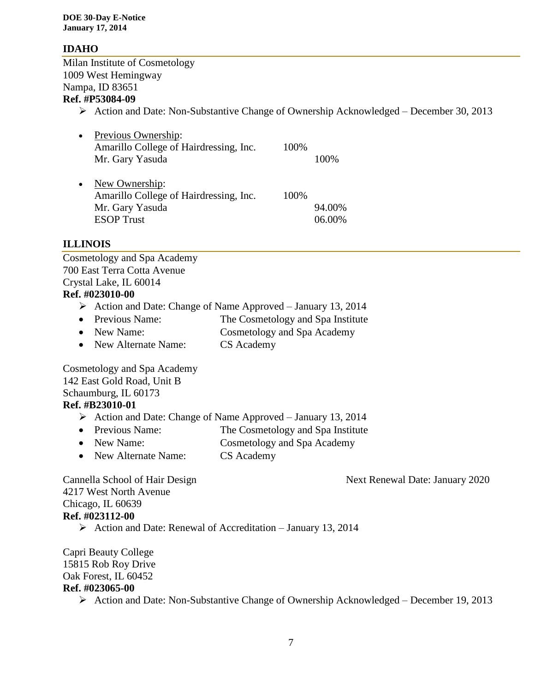#### **IDAHO**

Milan Institute of Cosmetology 1009 West Hemingway Nampa, ID 83651 **Ref. #P53084-09**

 $\triangleright$  Action and Date: Non-Substantive Change of Ownership Acknowledged – December 30, 2013

| $\bullet$ | Previous Ownership:                    |      |        |
|-----------|----------------------------------------|------|--------|
|           | Amarillo College of Hairdressing, Inc. | 100% |        |
|           | Mr. Gary Yasuda                        |      | 100\%  |
| $\bullet$ | New Ownership:                         |      |        |
|           | Amarillo College of Hairdressing, Inc. | 100% |        |
|           | Mr. Gary Yasuda                        |      | 94.00% |
|           | <b>ESOP</b> Trust                      |      | 06.00% |

#### **ILLINOIS**

Cosmetology and Spa Academy 700 East Terra Cotta Avenue Crystal Lake, IL 60014

#### **Ref. #023010-00**

- $\triangleright$  Action and Date: Change of Name Approved January 13, 2014
- Previous Name: The Cosmetology and Spa Institute
- New Name: Cosmetology and Spa Academy
- New Alternate Name: CS Academy

Cosmetology and Spa Academy 142 East Gold Road, Unit B Schaumburg, IL 60173

#### **Ref. #B23010-01**

- $\triangleright$  Action and Date: Change of Name Approved January 13, 2014
- Previous Name: The Cosmetology and Spa Institute
- New Name: Cosmetology and Spa Academy
- New Alternate Name: CS Academy

Cannella School of Hair Design Next Renewal Date: January 2020

4217 West North Avenue Chicago, IL 60639 **Ref. #023112-00**

 $\triangleright$  Action and Date: Renewal of Accreditation – January 13, 2014

Capri Beauty College 15815 Rob Roy Drive Oak Forest, IL 60452

#### **Ref. #023065-00**

 $\triangleright$  Action and Date: Non-Substantive Change of Ownership Acknowledged – December 19, 2013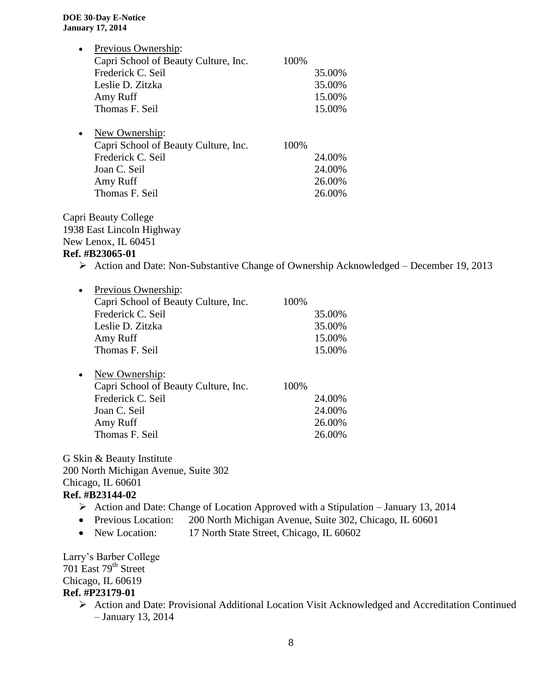| $\bullet$ | Previous Ownership:                  |      |        |
|-----------|--------------------------------------|------|--------|
|           | Capri School of Beauty Culture, Inc. | 100% |        |
|           | Frederick C. Seil                    |      | 35.00% |
|           | Leslie D. Zitzka                     |      | 35.00% |
|           | Amy Ruff                             |      | 15.00% |
|           | Thomas F. Seil                       |      | 15.00% |
| $\bullet$ | New Ownership:                       |      |        |
|           | Capri School of Beauty Culture, Inc. | 100% |        |
|           | Frederick C. Seil                    |      | 24.00% |
|           | Joan C. Seil                         |      | 24.00% |
|           | Amy Ruff                             |      | 26.00% |

Thomas F. Seil 26.00%

Capri Beauty College 1938 East Lincoln Highway New Lenox, IL 60451

#### **Ref. #B23065-01**

Action and Date: Non-Substantive Change of Ownership Acknowledged – December 19, 2013

| $\bullet$ | Previous Ownership:                  |      |        |
|-----------|--------------------------------------|------|--------|
|           | Capri School of Beauty Culture, Inc. | 100% |        |
|           | Frederick C. Seil                    |      | 35.00% |
|           | Leslie D. Zitzka                     |      | 35.00% |
|           | Amy Ruff                             |      | 15.00% |
|           | Thomas F. Seil                       |      | 15.00% |
|           |                                      |      |        |
| $\bullet$ | New Ownership:                       |      |        |
|           | Capri School of Beauty Culture, Inc. | 100% |        |
|           | Frederick C. Seil                    |      | 24.00% |
|           | Joan C. Seil                         |      | 24.00% |
|           | Amy Ruff                             |      | 26.00% |
|           | Thomas F. Seil                       |      | 26.00% |

G Skin & Beauty Institute 200 North Michigan Avenue, Suite 302 Chicago, IL 60601 **Ref. #B23144-02**

- Action and Date: Change of Location Approved with a Stipulation January 13, 2014
- Previous Location: 200 North Michigan Avenue, Suite 302, Chicago, IL 60601
- New Location: 17 North State Street, Chicago, IL 60602

Larry's Barber College 701 East 79<sup>th</sup> Street Chicago, IL 60619 **Ref. #P23179-01**

> Action and Date: Provisional Additional Location Visit Acknowledged and Accreditation Continued – January 13, 2014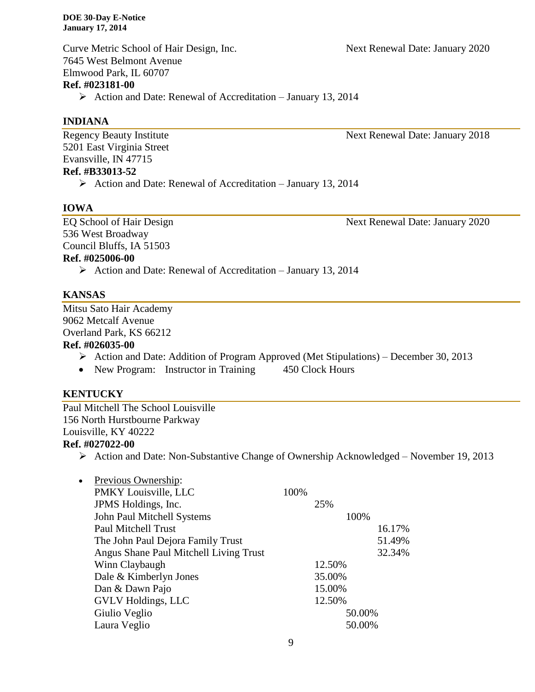Curve Metric School of Hair Design, Inc. Next Renewal Date: January 2020 7645 West Belmont Avenue Elmwood Park, IL 60707 **Ref. #023181-00**

 $\triangleright$  Action and Date: Renewal of Accreditation – January 13, 2014

#### **INDIANA**

Regency Beauty Institute Next Renewal Date: January 2018 5201 East Virginia Street Evansville, IN 47715 **Ref. #B33013-52**

 $\triangleright$  Action and Date: Renewal of Accreditation – January 13, 2014

#### **IOWA**

EQ School of Hair Design Next Renewal Date: January 2020 536 West Broadway Council Bluffs, IA 51503 **Ref. #025006-00**

 $\triangleright$  Action and Date: Renewal of Accreditation – January 13, 2014

#### **KANSAS**

Mitsu Sato Hair Academy 9062 Metcalf Avenue Overland Park, KS 66212

#### **Ref. #026035-00**

- Action and Date: Addition of Program Approved (Met Stipulations) December 30, 2013
- New Program: Instructor in Training 450 Clock Hours

#### **KENTUCKY**

Paul Mitchell The School Louisville 156 North Hurstbourne Parkway Louisville, KY 40222 **Ref. #027022-00**

Action and Date: Non-Substantive Change of Ownership Acknowledged – November 19, 2013

| $\bullet$ | Previous Ownership:                    |      |        |        |        |
|-----------|----------------------------------------|------|--------|--------|--------|
|           | PMKY Louisville, LLC                   | 100% |        |        |        |
|           | JPMS Holdings, Inc.                    |      | 25%    |        |        |
|           | John Paul Mitchell Systems             |      |        | 100%   |        |
|           | <b>Paul Mitchell Trust</b>             |      |        |        | 16.17% |
|           | The John Paul Dejora Family Trust      |      |        |        | 51.49% |
|           | Angus Shane Paul Mitchell Living Trust |      |        |        | 32.34% |
|           | Winn Claybaugh                         |      | 12.50% |        |        |
|           | Dale & Kimberlyn Jones                 |      | 35.00% |        |        |
|           | Dan & Dawn Pajo                        |      | 15.00% |        |        |
|           | <b>GVLV Holdings, LLC</b>              |      | 12.50% |        |        |
|           | Giulio Veglio                          |      |        | 50.00% |        |
|           | Laura Veglio                           |      |        | 50.00% |        |
|           |                                        |      |        |        |        |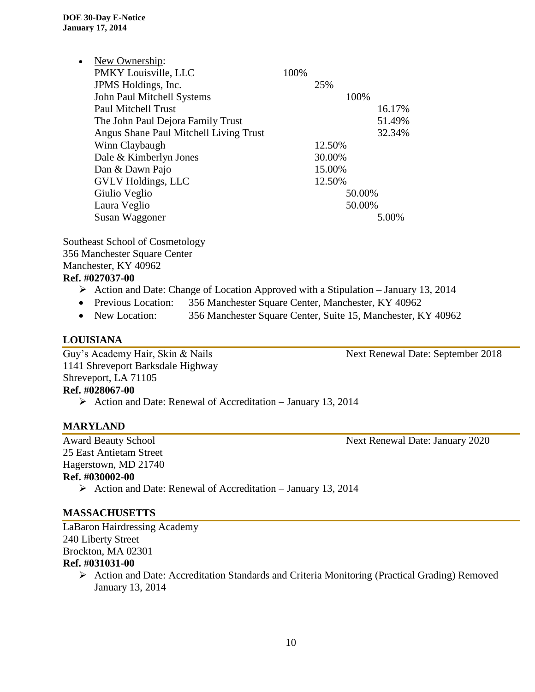| $\bullet$ | New Ownership:                         |      |        |        |
|-----------|----------------------------------------|------|--------|--------|
|           | PMKY Louisville, LLC                   | 100% |        |        |
|           | JPMS Holdings, Inc.                    |      | 25%    |        |
|           | John Paul Mitchell Systems             |      | 100%   |        |
|           | Paul Mitchell Trust                    |      |        | 16.17% |
|           | The John Paul Dejora Family Trust      |      |        | 51.49% |
|           | Angus Shane Paul Mitchell Living Trust |      |        | 32.34% |
|           | Winn Claybaugh                         |      | 12.50% |        |
|           | Dale & Kimberlyn Jones                 |      | 30.00% |        |
|           | Dan & Dawn Pajo                        |      | 15.00% |        |
|           | <b>GVLV Holdings, LLC</b>              |      | 12.50% |        |
|           | Giulio Veglio                          |      | 50.00% |        |
|           | Laura Veglio                           |      | 50.00% |        |
|           | Susan Waggoner                         |      |        | 5.00%  |

Southeast School of Cosmetology 356 Manchester Square Center Manchester, KY 40962 **Ref. #027037-00**

- $\triangleright$  Action and Date: Change of Location Approved with a Stipulation January 13, 2014
- Previous Location: 356 Manchester Square Center, Manchester, KY 40962
- New Location: 356 Manchester Square Center, Suite 15, Manchester, KY 40962

#### **LOUISIANA**

Guy's Academy Hair, Skin & Nails Next Renewal Date: September 2018 1141 Shreveport Barksdale Highway Shreveport, LA 71105 **Ref. #028067-00**  $\triangleright$  Action and Date: Renewal of Accreditation – January 13, 2014

#### **MARYLAND**

Award Beauty School Next Renewal Date: January 2020 25 East Antietam Street Hagerstown, MD 21740 **Ref. #030002-00**  $\triangleright$  Action and Date: Renewal of Accreditation – January 13, 2014

#### **MASSACHUSETTS**

LaBaron Hairdressing Academy 240 Liberty Street Brockton, MA 02301 **Ref. #031031-00**

> ▶ Action and Date: Accreditation Standards and Criteria Monitoring (Practical Grading) Removed – January 13, 2014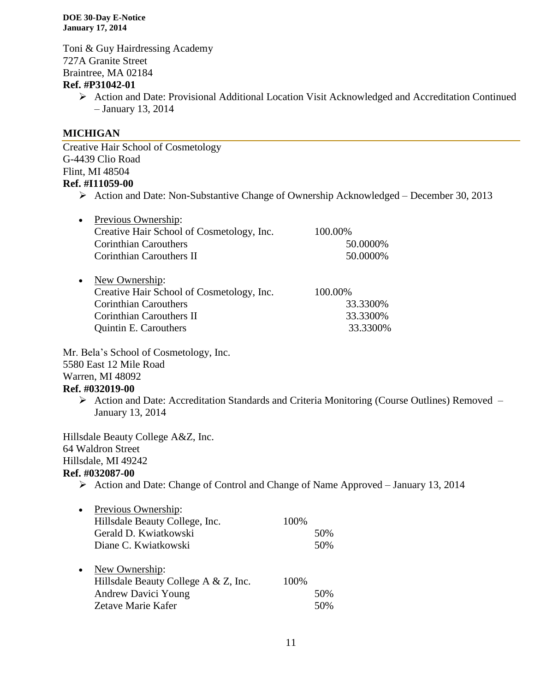Toni & Guy Hairdressing Academy 727A Granite Street Braintree, MA 02184

#### **Ref. #P31042-01**

 Action and Date: Provisional Additional Location Visit Acknowledged and Accreditation Continued – January 13, 2014

#### **MICHIGAN**

Creative Hair School of Cosmetology G-4439 Clio Road Flint, MI 48504 **Ref. #I11059-00**

 $\triangleright$  Action and Date: Non-Substantive Change of Ownership Acknowledged – December 30, 2013

| 100.00%  |
|----------|
| 50.0000% |
| 50.0000% |
|          |
|          |
| 100.00%  |
| 33.3300% |
| 33.3300% |
|          |
|          |

Mr. Bela's School of Cosmetology, Inc. 5580 East 12 Mile Road Warren, MI 48092 **Ref. #032019-00**

 Action and Date: Accreditation Standards and Criteria Monitoring (Course Outlines) Removed – January 13, 2014

Hillsdale Beauty College A&Z, Inc. 64 Waldron Street Hillsdale, MI 49242 **Ref. #032087-00**

 $\triangleright$  Action and Date: Change of Control and Change of Name Approved – January 13, 2014

| $\bullet$ | Previous Ownership:<br>Hillsdale Beauty College, Inc.                                                      | 100% |            |
|-----------|------------------------------------------------------------------------------------------------------------|------|------------|
|           | Gerald D. Kwiatkowski                                                                                      |      | 50%        |
|           | Diane C. Kwiatkowski                                                                                       |      | 50%        |
| $\bullet$ | New Ownership:<br>Hillsdale Beauty College A & Z, Inc.<br><b>Andrew Davici Young</b><br>Zetave Marie Kafer | 100% | 50%<br>50% |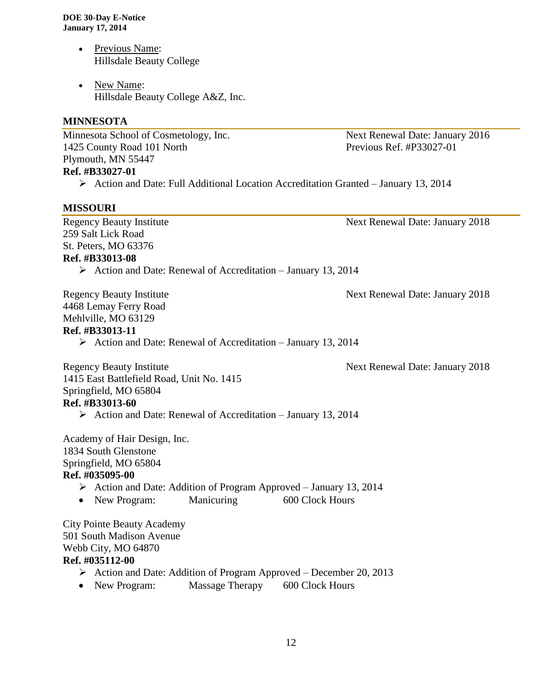- Previous Name: Hillsdale Beauty College
- New Name: Hillsdale Beauty College A&Z, Inc.

#### **MINNESOTA**

Minnesota School of Cosmetology, Inc. Next Renewal Date: January 2016 1425 County Road 101 North Previous Ref. #P33027-01 Plymouth, MN 55447 **Ref. #B33027-01**

Action and Date: Full Additional Location Accreditation Granted – January 13, 2014

#### **MISSOURI**

Regency Beauty Institute Next Renewal Date: January 2018 259 Salt Lick Road St. Peters, MO 63376 **Ref. #B33013-08**

 $\triangleright$  Action and Date: Renewal of Accreditation – January 13, 2014

Regency Beauty Institute **Next Renewal Date: January 2018** 4468 Lemay Ferry Road Mehlville, MO 63129

#### **Ref. #B33013-11**

 $\triangleright$  Action and Date: Renewal of Accreditation – January 13, 2014

Regency Beauty Institute **Next Renewal Date: January 2018** 

1415 East Battlefield Road, Unit No. 1415 Springfield, MO 65804 **Ref. #B33013-60**

 $\triangleright$  Action and Date: Renewal of Accreditation – January 13, 2014

Academy of Hair Design, Inc. 1834 South Glenstone Springfield, MO 65804 **Ref. #035095-00**

- $\triangleright$  Action and Date: Addition of Program Approved January 13, 2014
- New Program: Manicuring 600 Clock Hours

City Pointe Beauty Academy 501 South Madison Avenue Webb City, MO 64870 **Ref. #035112-00**

- $\triangleright$  Action and Date: Addition of Program Approved December 20, 2013
- New Program: Massage Therapy 600 Clock Hours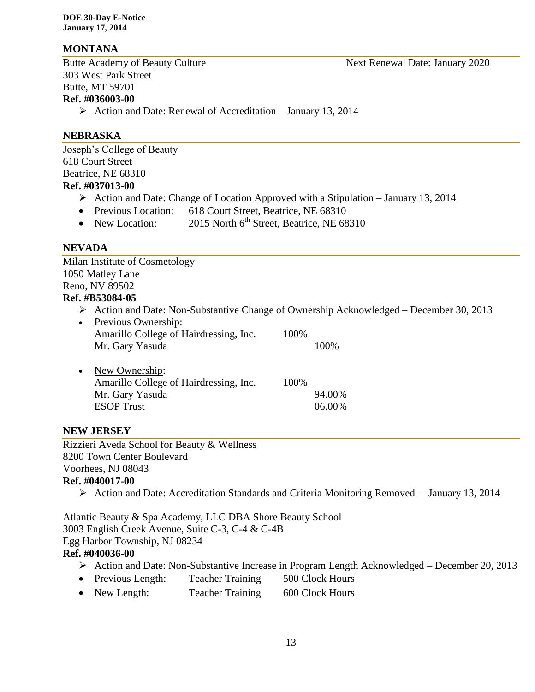#### **MONTANA**

Butte Academy of Beauty Culture Next Renewal Date: January 2020 303 West Park Street Butte, MT 59701 **Ref. #036003-00**

 $\triangleright$  Action and Date: Renewal of Accreditation – January 13, 2014

#### **NEBRASKA**

Joseph's College of Beauty 618 Court Street Beatrice, NE 68310 **Ref. #037013-00**

- $\triangleright$  Action and Date: Change of Location Approved with a Stipulation January 13, 2014
- Previous Location: 618 Court Street, Beatrice, NE 68310
- New Location:  $2015$  North 6<sup>th</sup> Street, Beatrice, NE 68310

#### **NEVADA**

Milan Institute of Cosmetology 1050 Matley Lane Reno, NV 89502 **Ref. #B53084-05**

 $\triangleright$  Action and Date: Non-Substantive Change of Ownership Acknowledged – December 30, 2013

| Previous Ownership:                    |      |        |
|----------------------------------------|------|--------|
| Amarillo College of Hairdressing, Inc. | 100% |        |
| Mr. Gary Yasuda                        |      | 100%   |
| New Ownership:                         |      |        |
| Amarillo College of Hairdressing, Inc. | 100% |        |
| Mr. Gary Yasuda                        |      | 94.00% |
| <b>ESOP</b> Trust                      |      | 06.00% |
|                                        |      |        |

#### **NEW JERSEY**

Rizzieri Aveda School for Beauty & Wellness 8200 Town Center Boulevard Voorhees, NJ 08043

#### **Ref. #040017-00**

Action and Date: Accreditation Standards and Criteria Monitoring Removed – January 13, 2014

Atlantic Beauty & Spa Academy, LLC DBA Shore Beauty School 3003 English Creek Avenue, Suite C-3, C-4 & C-4B Egg Harbor Township, NJ 08234 **Ref. #040036-00**

## Action and Date: Non-Substantive Increase in Program Length Acknowledged – December 20, 2013

- Previous Length: Teacher Training 500 Clock Hours
- New Length: Teacher Training 600 Clock Hours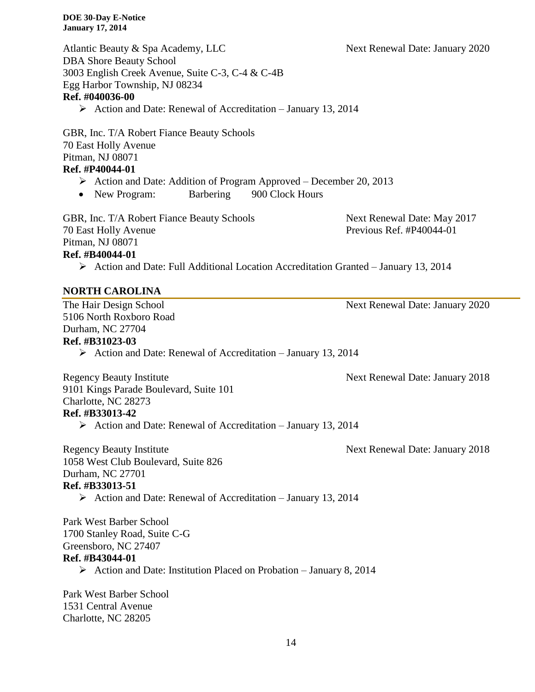| <b>DOE 30-Day E-Notice</b><br><b>January 17, 2014</b>                                                                                                                                                |                                                         |
|------------------------------------------------------------------------------------------------------------------------------------------------------------------------------------------------------|---------------------------------------------------------|
| Atlantic Beauty & Spa Academy, LLC<br><b>DBA Shore Beauty School</b><br>3003 English Creek Avenue, Suite C-3, C-4 & C-4B<br>Egg Harbor Township, NJ 08234<br>Ref. #040036-00                         | Next Renewal Date: January 2020                         |
| $\triangleright$ Action and Date: Renewal of Accreditation – January 13, 2014                                                                                                                        |                                                         |
| GBR, Inc. T/A Robert Fiance Beauty Schools<br>70 East Holly Avenue<br>Pitman, NJ 08071<br>Ref. #P40044-01<br>$\triangleright$ Action and Date: Addition of Program Approved – December 20, 2013      |                                                         |
| New Program:<br>Barbering<br>900 Clock Hours                                                                                                                                                         |                                                         |
| GBR, Inc. T/A Robert Fiance Beauty Schools<br><b>70 East Holly Avenue</b><br>Pitman, NJ 08071<br>Ref. #B40044-01                                                                                     | Next Renewal Date: May 2017<br>Previous Ref. #P40044-01 |
| $\triangleright$ Action and Date: Full Additional Location Accreditation Granted – January 13, 2014                                                                                                  |                                                         |
| <b>NORTH CAROLINA</b>                                                                                                                                                                                |                                                         |
| The Hair Design School<br>5106 North Roxboro Road<br>Durham, NC 27704<br>Ref. #B31023-03<br>$\triangleright$ Action and Date: Renewal of Accreditation – January 13, 2014                            | Next Renewal Date: January 2020                         |
| <b>Regency Beauty Institute</b><br>9101 Kings Parade Boulevard, Suite 101<br>Charlotte, NC 28273<br>Ref. #B33013-42<br>$\triangleright$ Action and Date: Renewal of Accreditation – January 13, 2014 | Next Renewal Date: January 2018                         |
| <b>Regency Beauty Institute</b><br>1058 West Club Boulevard, Suite 826<br>Durham, NC 27701<br>Ref. #B33013-51<br>$\triangleright$ Action and Date: Renewal of Accreditation – January 13, 2014       | Next Renewal Date: January 2018                         |
| Park West Barber School<br>1700 Stanley Road, Suite C-G<br>Greensboro, NC 27407<br>Ref. #B43044-01<br>$\triangleright$ Action and Date: Institution Placed on Probation – January 8, 2014            |                                                         |
| Park West Barber School                                                                                                                                                                              |                                                         |

1531 Central Avenue Charlotte, NC 28205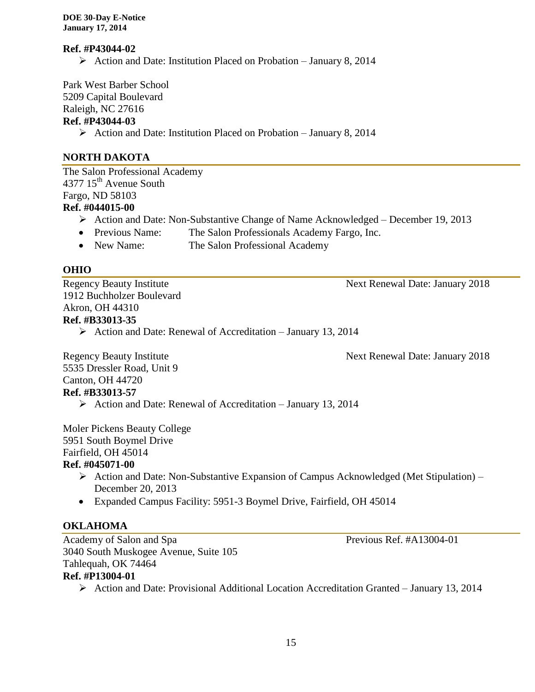#### **Ref. #P43044-02**

 $\triangleright$  Action and Date: Institution Placed on Probation – January 8, 2014

Park West Barber School 5209 Capital Boulevard

Raleigh, NC 27616

#### **Ref. #P43044-03**

 $\triangleright$  Action and Date: Institution Placed on Probation – January 8, 2014

#### **NORTH DAKOTA**

The Salon Professional Academy 4377 15<sup>th</sup> Avenue South Fargo, ND 58103 **Ref. #044015-00**

- Action and Date: Non-Substantive Change of Name Acknowledged December 19, 2013
- Previous Name: The Salon Professionals Academy Fargo, Inc.
- New Name: The Salon Professional Academy

#### **OHIO**

Regency Beauty Institute Next Renewal Date: January 2018 1912 Buchholzer Boulevard Akron, OH 44310 **Ref. #B33013-35**

 $\triangleright$  Action and Date: Renewal of Accreditation – January 13, 2014

Regency Beauty Institute Next Renewal Date: January 2018

5535 Dressler Road, Unit 9 Canton, OH 44720 **Ref. #B33013-57**

 $\triangleright$  Action and Date: Renewal of Accreditation – January 13, 2014

Moler Pickens Beauty College 5951 South Boymel Drive Fairfield, OH 45014 **Ref. #045071-00**

- Action and Date: Non-Substantive Expansion of Campus Acknowledged (Met Stipulation) December 20, 2013
- Expanded Campus Facility: 5951-3 Boymel Drive, Fairfield, OH 45014

## **OKLAHOMA**

Academy of Salon and Spa Previous Ref. #A13004-01 3040 South Muskogee Avenue, Suite 105 Tahlequah, OK 74464

## **Ref. #P13004-01**

Action and Date: Provisional Additional Location Accreditation Granted – January 13, 2014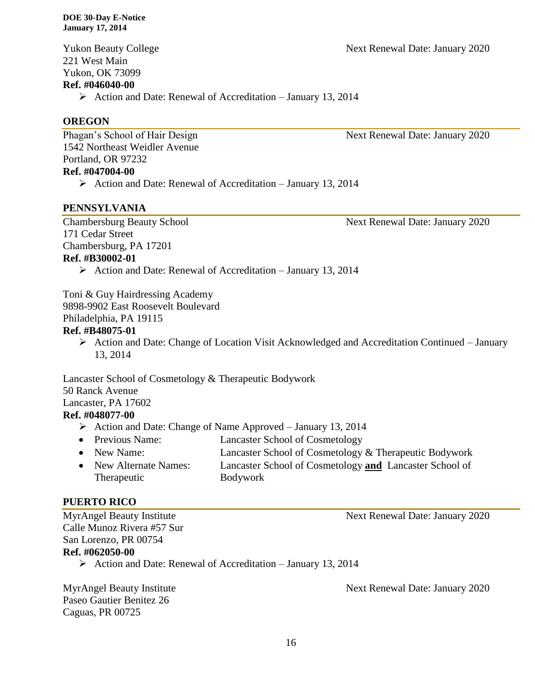Yukon Beauty College **Next Renewal Date: January 2020** 221 West Main Yukon, OK 73099 **Ref. #046040-00**  $\triangleright$  Action and Date: Renewal of Accreditation – January 13, 2014

#### **OREGON**

Phagan's School of Hair Design Next Renewal Date: January 2020 1542 Northeast Weidler Avenue Portland, OR 97232 **Ref. #047004-00**

#### $\triangleright$  Action and Date: Renewal of Accreditation – January 13, 2014

 $\triangleright$  Action and Date: Renewal of Accreditation – January 13, 2014

#### **PENNSYLVANIA**

171 Cedar Street Chambersburg, PA 17201 **Ref. #B30002-01**

Chambersburg Beauty School Next Renewal Date: January 2020

Toni & Guy Hairdressing Academy 9898-9902 East Roosevelt Boulevard

Philadelphia, PA 19115

#### **Ref. #B48075-01**

 $\triangleright$  Action and Date: Change of Location Visit Acknowledged and Accreditation Continued – January 13, 2014

Lancaster School of Cosmetology & Therapeutic Bodywork 50 Ranck Avenue Lancaster, PA 17602

#### **Ref. #048077-00**

- $\triangleright$  Action and Date: Change of Name Approved January 13, 2014
- Previous Name: Lancaster School of Cosmetology
- New Name: Lancaster School of Cosmetology & Therapeutic Bodywork New Alternate Names: Lancaster School of Cosmetology **and** Lancaster School of Therapeutic Bodywork

#### **PUERTO RICO**

MyrAngel Beauty Institute Next Renewal Date: January 2020 Calle Munoz Rivera #57 Sur San Lorenzo, PR 00754 **Ref. #062050-00**  $\triangleright$  Action and Date: Renewal of Accreditation – January 13, 2014

Paseo Gautier Benitez 26 Caguas, PR 00725

MyrAngel Beauty Institute Next Renewal Date: January 2020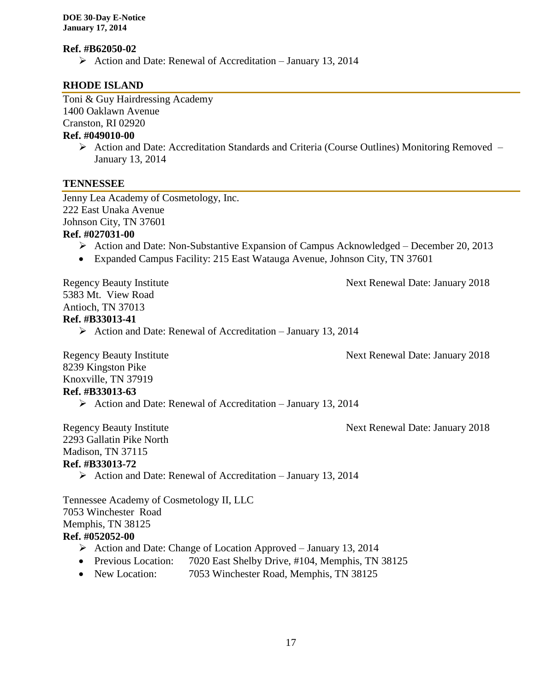#### **Ref. #B62050-02**

 $\triangleright$  Action and Date: Renewal of Accreditation – January 13, 2014

#### **RHODE ISLAND**

Toni & Guy Hairdressing Academy 1400 Oaklawn Avenue Cranston, RI 02920

# **Ref. #049010-00**

 Action and Date: Accreditation Standards and Criteria (Course Outlines) Monitoring Removed – January 13, 2014

#### **TENNESSEE**

Jenny Lea Academy of Cosmetology, Inc. 222 East Unaka Avenue Johnson City, TN 37601

#### **Ref. #027031-00**

- Action and Date: Non-Substantive Expansion of Campus Acknowledged December 20, 2013
- Expanded Campus Facility: 215 East Watauga Avenue, Johnson City, TN 37601

Regency Beauty Institute Next Renewal Date: January 2018

5383 Mt. View Road Antioch, TN 37013 **Ref. #B33013-41**

 $\triangleright$  Action and Date: Renewal of Accreditation – January 13, 2014

Regency Beauty Institute Next Renewal Date: January 2018

8239 Kingston Pike Knoxville, TN 37919

#### **Ref. #B33013-63**

 $\triangleright$  Action and Date: Renewal of Accreditation – January 13, 2014

Regency Beauty Institute Next Renewal Date: January 2018

2293 Gallatin Pike North Madison, TN 37115 **Ref. #B33013-72**

 $\triangleright$  Action and Date: Renewal of Accreditation – January 13, 2014

Tennessee Academy of Cosmetology II, LLC 7053 Winchester Road Memphis, TN 38125 **Ref. #052052-00**

- Action and Date: Change of Location Approved January 13, 2014
- Previous Location: 7020 East Shelby Drive, #104, Memphis, TN 38125
- New Location: 7053 Winchester Road, Memphis, TN 38125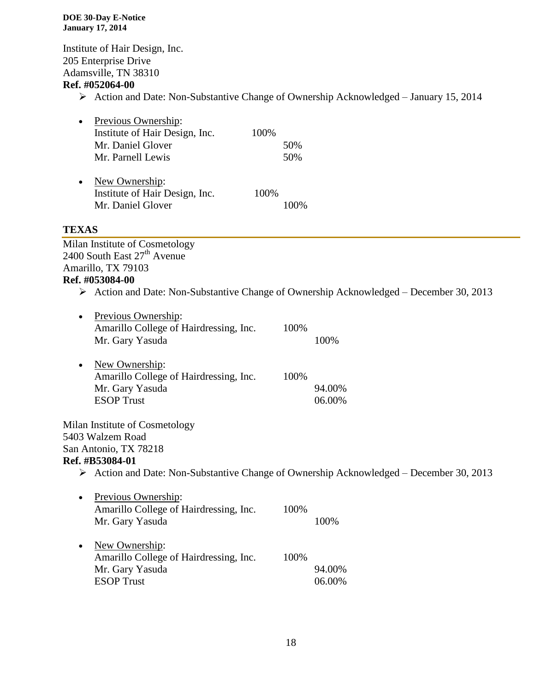Institute of Hair Design, Inc. 205 Enterprise Drive Adamsville, TN 38310

#### **Ref. #052064-00**

Action and Date: Non-Substantive Change of Ownership Acknowledged – January 15, 2014

| $\bullet$ | Previous Ownership:<br>Institute of Hair Design, Inc.<br>Mr. Daniel Glover<br>Mr. Parnell Lewis | 100% | 50%<br>50% |
|-----------|-------------------------------------------------------------------------------------------------|------|------------|
| $\bullet$ | New Ownership:<br>Institute of Hair Design, Inc.                                                | 100% |            |
|           | Mr. Daniel Glover                                                                               |      |            |

#### **TEXAS**

Milan Institute of Cosmetology  $2400$  South East  $27<sup>th</sup>$  Avenue Amarillo, TX 79103

## **Ref. #053084-00**

 $\triangleright$  Action and Date: Non-Substantive Change of Ownership Acknowledged – December 30, 2013

| Previous Ownership:<br>٠<br>Amarillo College of Hairdressing, Inc.                                     | 100% |        |
|--------------------------------------------------------------------------------------------------------|------|--------|
| Mr. Gary Yasuda                                                                                        |      | 100%   |
| New Ownership:<br>$\bullet$                                                                            |      |        |
| Amarillo College of Hairdressing, Inc.                                                                 | 100% |        |
| Mr. Gary Yasuda                                                                                        |      | 94.00% |
| <b>ESOP</b> Trust                                                                                      |      | 06.00% |
| Milan Institute of Cosmetology                                                                         |      |        |
| 5403 Walzem Road                                                                                       |      |        |
| San Antonio, TX 78218                                                                                  |      |        |
| Ref. #B53084-01                                                                                        |      |        |
| $\triangleright$ Action and Date: Non-Substantive Change of Ownership Acknowledged – December 30, 2013 |      |        |
|                                                                                                        |      |        |
| Previous Ownership:<br>$\bullet$<br>Amarillo College of Hairdressing, Inc.                             | 100% |        |
| Mr. Gary Yasuda                                                                                        |      | 100%   |
|                                                                                                        |      |        |
| New Ownership:<br>٠                                                                                    |      |        |
| Amarillo College of Hairdressing, Inc.                                                                 | 100% |        |
| Mr. Gary Yasuda                                                                                        |      | 94.00% |
| <b>ESOP</b> Trust                                                                                      |      | 06.00% |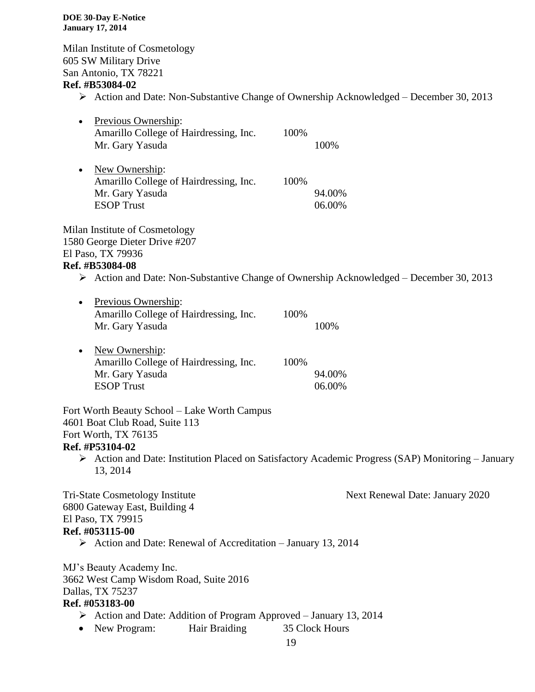Milan Institute of Cosmetology 605 SW Military Drive San Antonio, TX 78221 **Ref. #B53084-02**

 $\triangleright$  Action and Date: Non-Substantive Change of Ownership Acknowledged – December 30, 2013

| $\bullet$ | Previous Ownership:                    |      |       |
|-----------|----------------------------------------|------|-------|
|           | Amarillo College of Hairdressing, Inc. | 100% |       |
|           | Mr. Gary Yasuda                        |      | 100\% |
|           |                                        |      |       |

| • New Ownership:                       |      |        |
|----------------------------------------|------|--------|
| Amarillo College of Hairdressing, Inc. | 100% |        |
| Mr. Gary Yasuda                        |      | 94.00% |
| <b>ESOP</b> Trust                      |      | 06.00% |

Milan Institute of Cosmetology 1580 George Dieter Drive #207 El Paso, TX 79936

#### **Ref. #B53084-08**

 $\triangleright$  Action and Date: Non-Substantive Change of Ownership Acknowledged – December 30, 2013

| $\bullet$ | Previous Ownership:                    |      |       |
|-----------|----------------------------------------|------|-------|
|           | Amarillo College of Hairdressing, Inc. | 100% |       |
|           | Mr. Gary Yasuda                        |      | 100\% |
|           | Now Ownorship                          |      |       |

| . . | $N$ CW OWIICI SIIID.                   |      |        |
|-----|----------------------------------------|------|--------|
|     | Amarillo College of Hairdressing, Inc. | 100% |        |
|     | Mr. Gary Yasuda                        |      | 94.00% |
|     | <b>ESOP</b> Trust                      |      | 06.00% |

Fort Worth Beauty School – Lake Worth Campus 4601 Boat Club Road, Suite 113 Fort Worth, TX 76135

#### **Ref. #P53104-02**

 $\triangleright$  Action and Date: Institution Placed on Satisfactory Academic Progress (SAP) Monitoring – January 13, 2014

Tri-State Cosmetology Institute Next Renewal Date: January 2020

6800 Gateway East, Building 4 El Paso, TX 79915 **Ref. #053115-00**

 $\triangleright$  Action and Date: Renewal of Accreditation – January 13, 2014

MJ's Beauty Academy Inc. 3662 West Camp Wisdom Road, Suite 2016 Dallas, TX 75237 **Ref. #053183-00**

- $\triangleright$  Action and Date: Addition of Program Approved January 13, 2014
- New Program: Hair Braiding 35 Clock Hours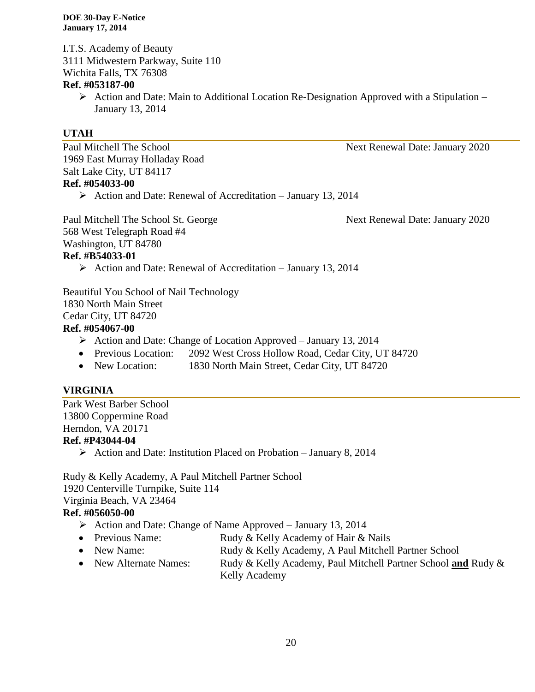I.T.S. Academy of Beauty 3111 Midwestern Parkway, Suite 110 Wichita Falls, TX 76308

#### **Ref. #053187-00**

 $\triangleright$  Action and Date: Main to Additional Location Re-Designation Approved with a Stipulation – January 13, 2014

#### **UTAH**

Paul Mitchell The School Next Renewal Date: January 2020 1969 East Murray Holladay Road Salt Lake City, UT 84117 **Ref. #054033-00**

 $\triangleright$  Action and Date: Renewal of Accreditation – January 13, 2014

Paul Mitchell The School St. George Next Renewal Date: January 2020 568 West Telegraph Road #4 Washington, UT 84780 **Ref. #B54033-01**

 $\triangleright$  Action and Date: Renewal of Accreditation – January 13, 2014

Beautiful You School of Nail Technology 1830 North Main Street Cedar City, UT 84720 **Ref. #054067-00**

- $\triangleright$  Action and Date: Change of Location Approved January 13, 2014
- Previous Location: 2092 West Cross Hollow Road, Cedar City, UT 84720
- New Location: 1830 North Main Street, Cedar City, UT 84720

#### **VIRGINIA**

Park West Barber School 13800 Coppermine Road Herndon, VA 20171 **Ref. #P43044-04**

 $\triangleright$  Action and Date: Institution Placed on Probation – January 8, 2014

Rudy & Kelly Academy, A Paul Mitchell Partner School 1920 Centerville Turnpike, Suite 114 Virginia Beach, VA 23464

#### **Ref. #056050-00**

- $\triangleright$  Action and Date: Change of Name Approved January 13, 2014
- Previous Name: Rudy & Kelly Academy of Hair & Nails
- New Name: Rudy & Kelly Academy, A Paul Mitchell Partner School
- New Alternate Names: Rudy & Kelly Academy, Paul Mitchell Partner School and Rudy & Kelly Academy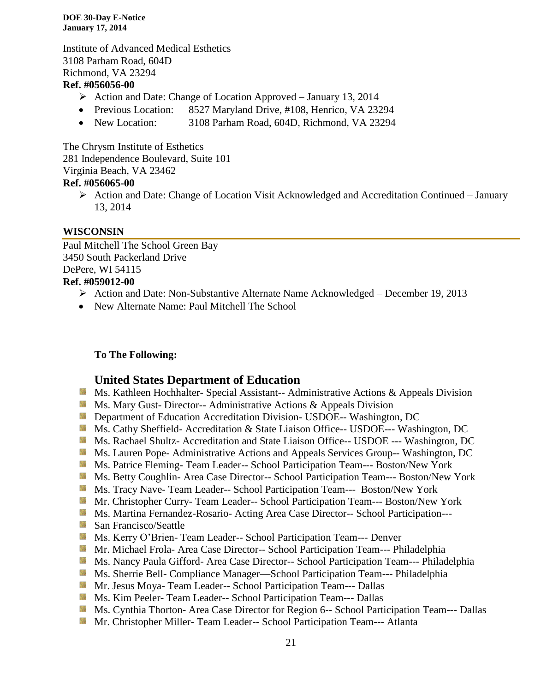Institute of Advanced Medical Esthetics 3108 Parham Road, 604D Richmond, VA 23294

#### **Ref. #056056-00**

- $\triangleright$  Action and Date: Change of Location Approved January 13, 2014
- Previous Location: 8527 Maryland Drive, #108, Henrico, VA 23294
- New Location: 3108 Parham Road, 604D, Richmond, VA 23294

The Chrysm Institute of Esthetics 281 Independence Boulevard, Suite 101 Virginia Beach, VA 23462 **Ref. #056065-00**

 Action and Date: Change of Location Visit Acknowledged and Accreditation Continued – January 13, 2014

#### **WISCONSIN**

Paul Mitchell The School Green Bay 3450 South Packerland Drive DePere, WI 54115 **Ref. #059012-00**

- Action and Date: Non-Substantive Alternate Name Acknowledged December 19, 2013
- New Alternate Name: Paul Mitchell The School

#### **To The Following:**

#### **United States Department of Education**

- **MS. Kathleen Hochhalter- Special Assistant-- Administrative Actions & Appeals Division**
- **Ms. Mary Gust- Director-- Administrative Actions & Appeals Division**
- **External Department of Education Accreditation Division- USDOE-- Washington, DC**
- Ms. Cathy Sheffield- Accreditation & State Liaison Office-- USDOE--- Washington, DC
- Ms. Rachael Shultz- Accreditation and State Liaison Office-- USDOE --- Washington, DC
- **Ms. Lauren Pope- Administrative Actions and Appeals Services Group-- Washington, DC**
- Ms. Patrice Fleming- Team Leader-- School Participation Team--- Boston/New York
- Ms. Betty Coughlin- Area Case Director-- School Participation Team--- Boston/New York
- Ms. Tracy Nave- Team Leader-- School Participation Team--- Boston/New York
- Mr. Christopher Curry- Team Leader-- School Participation Team--- Boston/New York
- **Ms. Martina Fernandez-Rosario-Acting Area Case Director-- School Participation---**
- San Francisco/Seattle
- Ms. Kerry O'Brien- Team Leader-- School Participation Team--- Denver
- **Mr. Michael Frola- Area Case Director-- School Participation Team--- Philadelphia**
- Ms. Nancy Paula Gifford- Area Case Director-- School Participation Team--- Philadelphia
- **Ms. Sherrie Bell- Compliance Manager—School Participation Team--- Philadelphia**
- Mr. Jesus Moya- Team Leader-- School Participation Team--- Dallas
- **MS. Kim Peeler-Team Leader-- School Participation Team--- Dallas**
- Ms. Cynthia Thorton- Area Case Director for Region 6-- School Participation Team--- Dallas
- Mr. Christopher Miller- Team Leader-- School Participation Team--- Atlanta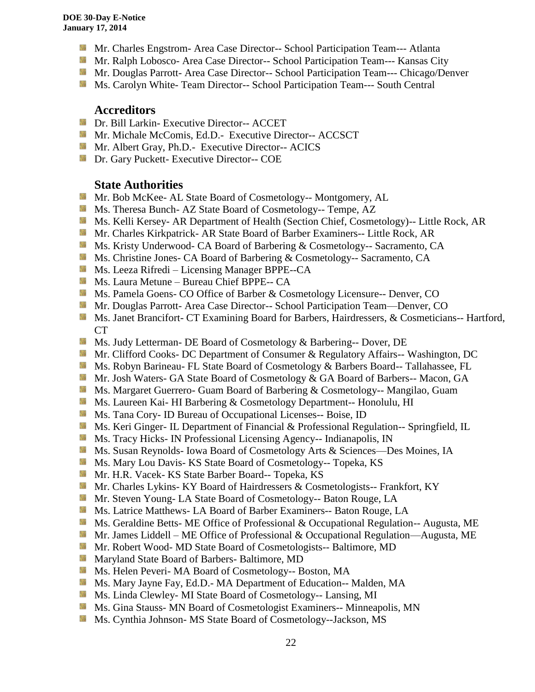- **Mr.** Charles Engstrom- Area Case Director-- School Participation Team--- Atlanta
- Mr. Ralph Lobosco- Area Case Director-- School Participation Team--- Kansas City
- **Mr. Douglas Parrott- Area Case Director-- School Participation Team--- Chicago/Denver**
- **Ms. Carolyn White- Team Director-- School Participation Team--- South Central**

#### **Accreditors**

- **IDE** Dr. Bill Larkin- Executive Director-- ACCET
- **Mr. Michale McComis, Ed.D.** Executive Director-- ACCSCT
- Mr. Albert Gray, Ph.D.- Executive Director-- ACICS
- **Dr.** Gary Puckett- Executive Director-- COE

#### **State Authorities**

- Mr. Bob McKee- AL State Board of Cosmetology-- Montgomery, AL
- Ms. Theresa Bunch- AZ State Board of Cosmetology-- Tempe, AZ
- **MS. Kelli Kersey- AR Department of Health (Section Chief, Cosmetology)**-- Little Rock, AR
- **Mr. Charles Kirkpatrick- AR State Board of Barber Examiners-- Little Rock, AR**
- **Ms. Kristy Underwood- CA Board of Barbering & Cosmetology-- Sacramento, CA**
- Ms. Christine Jones- CA Board of Barbering & Cosmetology-- Sacramento, CA
- **Ms. Leeza Rifredi Licensing Manager BPPE--CA**
- Ms. Laura Metune Bureau Chief BPPE-- CA
- Ms. Pamela Goens- CO Office of Barber & Cosmetology Licensure-- Denver, CO
- **Mr. Douglas Parrott- Area Case Director-- School Participation Team—Denver, CO**
- Ms. Janet Brancifort- CT Examining Board for Barbers, Hairdressers, & Cosmeticians-- Hartford, CT
- Ms. Judy Letterman- DE Board of Cosmetology & Barbering-- Dover, DE
- **Mr. Clifford Cooks- DC Department of Consumer & Regulatory Affairs-- Washington, DC**
- **Ms. Robyn Barineau- FL State Board of Cosmetology & Barbers Board-- Tallahassee, FL**
- **Mr.** Josh Waters- GA State Board of Cosmetology & GA Board of Barbers-- Macon, GA
- **Ms. Margaret Guerrero- Guam Board of Barbering & Cosmetology-- Mangilao, Guam**
- Ms. Laureen Kai- HI Barbering & Cosmetology Department-- Honolulu, HI
- **Ms.** Tana Cory- ID Bureau of Occupational Licenses-- Boise, ID
- **Ms. Keri Ginger- IL Department of Financial & Professional Regulation-- Springfield, IL**
- **Ms.** Tracy Hicks- IN Professional Licensing Agency-- Indianapolis, IN
- Ms. Susan Reynolds- Iowa Board of Cosmetology Arts & Sciences—Des Moines, IA
- **Ms. Mary Lou Davis- KS State Board of Cosmetology-- Topeka, KS**
- Mr. H.R. Vacek- KS State Barber Board-- Topeka, KS
- **Mr.** Charles Lykins- KY Board of Hairdressers & Cosmetologists-- Frankfort, KY
- **Mr. Steven Young- LA State Board of Cosmetology-- Baton Rouge, LA**
- **Ms. Latrice Matthews- LA Board of Barber Examiners-- Baton Rouge, LA**
- Ms. Geraldine Betts- ME Office of Professional & Occupational Regulation-- Augusta, ME
- Mr. James Liddell ME Office of Professional & Occupational Regulation—Augusta, ME
- Mr. Robert Wood- MD State Board of Cosmetologists-- Baltimore, MD
- **Maryland State Board of Barbers- Baltimore, MD**
- Ms. Helen Peveri- MA Board of Cosmetology-- Boston, MA
- Ms. Mary Jayne Fay, Ed.D.- MA Department of Education-- Malden, MA
- Ms. Linda Clewley- MI State Board of Cosmetology-- Lansing, MI
- **MS.** Gina Stauss- MN Board of Cosmetologist Examiners-- Minneapolis, MN
- **Ms.** Cynthia Johnson- MS State Board of Cosmetology--Jackson, MS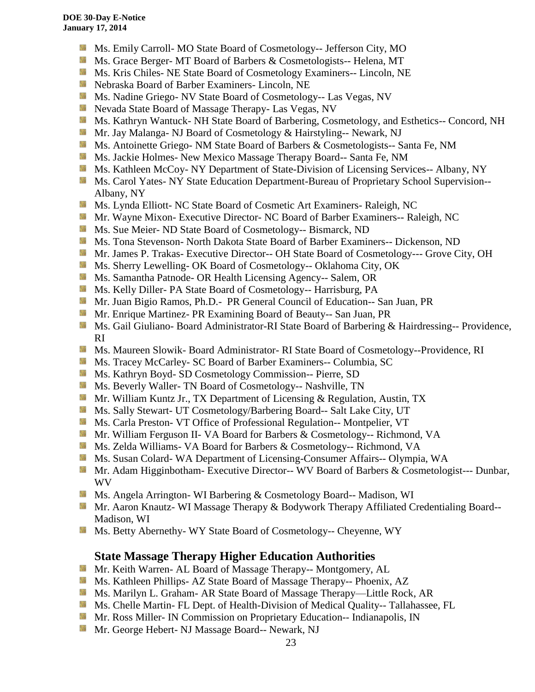- Ms. Emily Carroll- MO State Board of Cosmetology-- Jefferson City, MO
- Ms. Grace Berger- MT Board of Barbers & Cosmetologists-- Helena, MT
- **MS. Kris Chiles- NE State Board of Cosmetology Examiners-- Lincoln, NE**
- Nebraska Board of Barber Examiners- Lincoln, NE
- Ms. Nadine Griego- NV State Board of Cosmetology-- Las Vegas, NV
- Nevada State Board of Massage Therapy- Las Vegas, NV
- Ms. Kathryn Wantuck- NH State Board of Barbering, Cosmetology, and Esthetics-- Concord, NH
- Mr. Jay Malanga- NJ Board of Cosmetology & Hairstyling-- Newark, NJ
- **MS.** Antoinette Griego- NM State Board of Barbers & Cosmetologists-- Santa Fe, NM
- Ms. Jackie Holmes- New Mexico Massage Therapy Board-- Santa Fe, NM
- **Ms. Kathleen McCoy- NY Department of State-Division of Licensing Services-- Albany, NY**
- **Ms. Carol Yates- NY State Education Department-Bureau of Proprietary School Supervision--**Albany, NY
- **Ms. Lynda Elliott- NC State Board of Cosmetic Art Examiners- Raleigh, NC**
- **Mr. Wayne Mixon- Executive Director- NC Board of Barber Examiners-- Raleigh, NC**
- **MS.** Sue Meier- ND State Board of Cosmetology-- Bismarck, ND
- Ms. Tona Stevenson- North Dakota State Board of Barber Examiners-- Dickenson, ND
- **Mr. James P. Trakas- Executive Director-- OH State Board of Cosmetology--- Grove City, OH**
- Ms. Sherry Lewelling- OK Board of Cosmetology-- Oklahoma City, OK
- **MS.** Samantha Patnode- OR Health Licensing Agency-- Salem, OR
- **Ms. Kelly Diller-PA State Board of Cosmetology-- Harrisburg, PA**
- **Mr. Juan Bigio Ramos, Ph.D.- PR General Council of Education-- San Juan, PR**
- Mr. Enrique Martinez- PR Examining Board of Beauty-- San Juan, PR
- Ms. Gail Giuliano- Board Administrator-RI State Board of Barbering & Hairdressing-- Providence, RI
- **Ms. Maureen Slowik- Board Administrator- RI State Board of Cosmetology--Providence, RI**
- **Ms. Tracey McCarley- SC Board of Barber Examiners-- Columbia, SC**
- Ms. Kathryn Boyd- SD Cosmetology Commission-- Pierre, SD
- **Ms. Beverly Waller- TN Board of Cosmetology-- Nashville, TN**
- **Mr. William Kuntz Jr., TX Department of Licensing & Regulation, Austin, TX**
- **Ms. Sally Stewart- UT Cosmetology/Barbering Board-- Salt Lake City, UT**
- Ms. Carla Preston- VT Office of Professional Regulation-- Montpelier, VT
- Mr. William Ferguson II- VA Board for Barbers & Cosmetology-- Richmond, VA
- Ms. Zelda Williams- VA Board for Barbers & Cosmetology-- Richmond, VA
- **Ms. Susan Colard- WA Department of Licensing-Consumer Affairs-- Olympia, WA**
- Mr. Adam Higginbotham- Executive Director-- WV Board of Barbers & Cosmetologist--- Dunbar, WV
- Ms. Angela Arrington- WI Barbering & Cosmetology Board-- Madison, WI
- Mr. Aaron Knautz- WI Massage Therapy & Bodywork Therapy Affiliated Credentialing Board--Madison, WI
- Ms. Betty Abernethy- WY State Board of Cosmetology-- Cheyenne, WY

#### **State Massage Therapy Higher Education Authorities**

- **Mr. Keith Warren- AL Board of Massage Therapy-- Montgomery, AL**
- Ms. Kathleen Phillips- AZ State Board of Massage Therapy-- Phoenix, AZ
- **M.** Ms. Marilyn L. Graham- AR State Board of Massage Therapy—Little Rock, AR
- Ms. Chelle Martin- FL Dept. of Health-Division of Medical Quality-- Tallahassee, FL
- **Mr. Ross Miller- IN Commission on Proprietary Education-- Indianapolis, IN**
- **Mr. George Hebert- NJ Massage Board-- Newark, NJ**